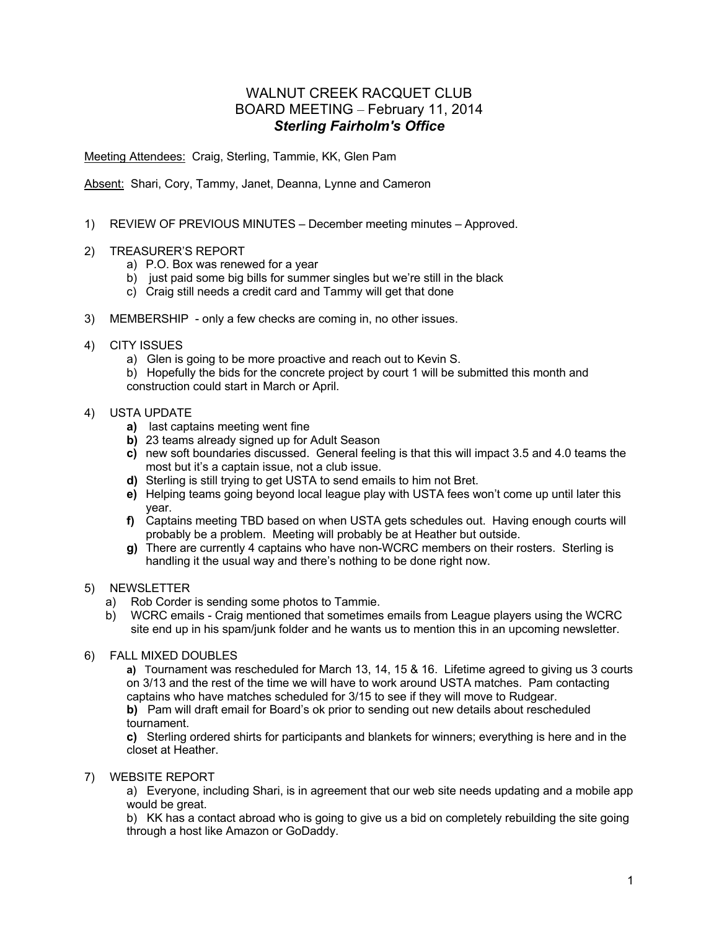# WALNUT CREEK RACQUET CLUB BOARD MEETING – February 11, 2014 *Sterling Fairholm's Office*

Meeting Attendees: Craig, Sterling, Tammie, KK, Glen Pam

Absent: Shari, Cory, Tammy, Janet, Deanna, Lynne and Cameron

- 1) REVIEW OF PREVIOUS MINUTES December meeting minutes Approved.
- 2) TREASURER'S REPORT
	- a) P.O. Box was renewed for a year
	- b) just paid some big bills for summer singles but we're still in the black
	- c) Craig still needs a credit card and Tammy will get that done
- 3) MEMBERSHIP only a few checks are coming in, no other issues.
- 4) CITY ISSUES
	- a) Glen is going to be more proactive and reach out to Kevin S.

b) Hopefully the bids for the concrete project by court 1 will be submitted this month and construction could start in March or April.

#### 4) USTA UPDATE

- **a)** last captains meeting went fine
- **b)** 23 teams already signed up for Adult Season
- **c)** new soft boundaries discussed. General feeling is that this will impact 3.5 and 4.0 teams the most but it's a captain issue, not a club issue.
- **d)** Sterling is still trying to get USTA to send emails to him not Bret.
- **e)** Helping teams going beyond local league play with USTA fees won't come up until later this year.
- **f)** Captains meeting TBD based on when USTA gets schedules out. Having enough courts will probably be a problem. Meeting will probably be at Heather but outside.
- **g)** There are currently 4 captains who have non-WCRC members on their rosters. Sterling is handling it the usual way and there's nothing to be done right now.

## 5) NEWSLETTER

- a) Rob Corder is sending some photos to Tammie.
- b) WCRC emails Craig mentioned that sometimes emails from League players using the WCRC site end up in his spam/junk folder and he wants us to mention this in an upcoming newsletter.
- 6) FALL MIXED DOUBLES

**a)** Tournament was rescheduled for March 13, 14, 15 & 16. Lifetime agreed to giving us 3 courts on 3/13 and the rest of the time we will have to work around USTA matches. Pam contacting captains who have matches scheduled for 3/15 to see if they will move to Rudgear.

**b)** Pam will draft email for Board's ok prior to sending out new details about rescheduled tournament.

**c)** Sterling ordered shirts for participants and blankets for winners; everything is here and in the closet at Heather.

7) WEBSITE REPORT

a) Everyone, including Shari, is in agreement that our web site needs updating and a mobile app would be great.

b) KK has a contact abroad who is going to give us a bid on completely rebuilding the site going through a host like Amazon or GoDaddy.